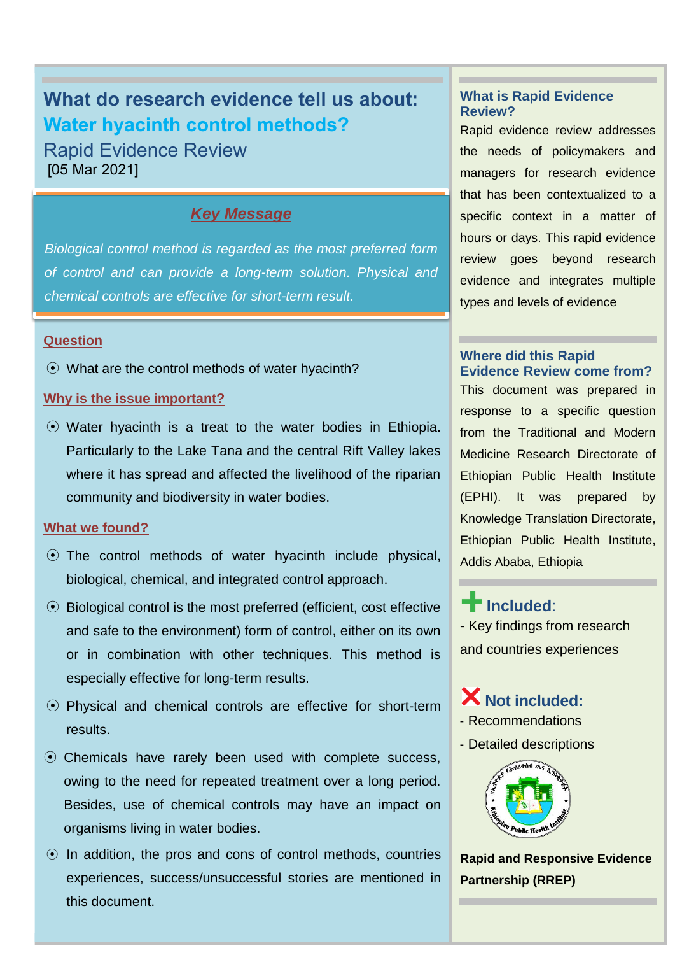# **What do research evidence tell us about: Water hyacinth control methods?**

Rapid Evidence Review [05 Mar 2021]

#### *Key Message*

*Biological control method is regarded as the most preferred form of control and can provide a long-term solution. Physical and chemical controls are effective for short-term result.* 

#### **Question**

⦿ What are the control methods of water hyacinth?

#### **Why is the issue important?**

⦿ Water hyacinth is a treat to the water bodies in Ethiopia. Particularly to the Lake Tana and the central Rift Valley lakes where it has spread and affected the livelihood of the riparian community and biodiversity in water bodies.

#### **What we found?**

- ⦿ The control methods of water hyacinth include physical, biological, chemical, and integrated control approach.
- ⦿ Biological control is the most preferred (efficient, cost effective and safe to the environment) form of control, either on its own or in combination with other techniques. This method is especially effective for long-term results.
- ⦿ Physical and chemical controls are effective for short-term results.
- ⦿ Chemicals have rarely been used with complete success, owing to the need for repeated treatment over a long period. Besides, use of chemical controls may have an impact on organisms living in water bodies.
- $\odot$  In addition, the pros and cons of control methods, countries experiences, success/unsuccessful stories are mentioned in this document.

#### **What is Rapid Evidence Review?**

Rapid evidence review addresses the needs of policymakers and managers for research evidence that has been contextualized to a specific context in a matter of hours or days. This rapid evidence review goes beyond research evidence and integrates multiple types and levels of evidence

#### **Where did this Rapid Evidence Review come from?**

This document was prepared in response to a specific question from the Traditional and Modern Medicine Research Directorate of Ethiopian Public Health Institute (EPHI). It was prepared by Knowledge Translation Directorate, Ethiopian Public Health Institute, Addis Ababa, Ethiopia

# **Included**:

- Key findings from research and countries experiences

## **Not included:**

- Recommendations
- Detailed descriptions



**Rapid and Responsive Evidence Partnership (RREP)**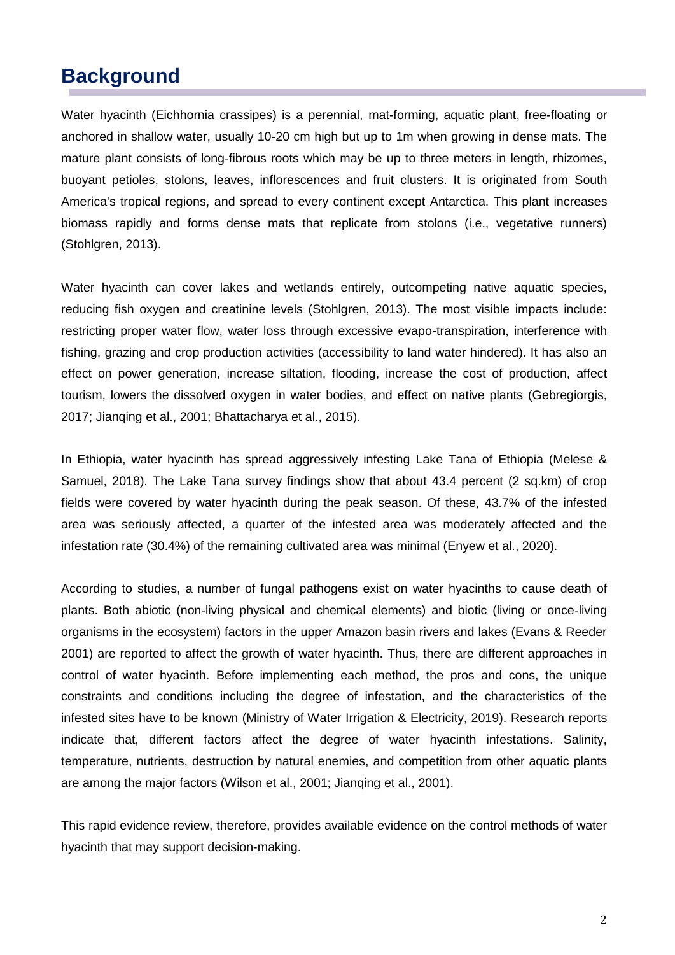# **Background**

Water hyacinth (Eichhornia crassipes) is a perennial, mat-forming, aquatic plant, free-floating or anchored in shallow water, usually 10-20 cm high but up to 1m when growing in dense mats. The mature plant consists of long-fibrous roots which may be up to three meters in length, rhizomes, buoyant petioles, stolons, leaves, inflorescences and fruit clusters. It is originated from South America's tropical regions, and spread to every continent except Antarctica. This plant increases biomass rapidly and forms dense mats that replicate from stolons (i.e., vegetative runners) (Stohlgren, 2013).

Water hyacinth can cover lakes and wetlands entirely, outcompeting native aquatic species, reducing fish oxygen and creatinine levels (Stohlgren, 2013). The most visible impacts include: restricting proper water flow, water loss through excessive evapo-transpiration, interference with fishing, grazing and crop production activities (accessibility to land water hindered). It has also an effect on power generation, increase siltation, flooding, increase the cost of production, affect tourism, lowers the dissolved oxygen in water bodies, and effect on native plants (Gebregiorgis, 2017; Jianqing et al., 2001; Bhattacharya et al., 2015).

In Ethiopia, water hyacinth has spread aggressively infesting Lake Tana of Ethiopia (Melese & Samuel, 2018). The Lake Tana survey findings show that about 43.4 percent (2 sq.km) of crop fields were covered by water hyacinth during the peak season. Of these, 43.7% of the infested area was seriously affected, a quarter of the infested area was moderately affected and the infestation rate (30.4%) of the remaining cultivated area was minimal (Enyew et al., 2020).

According to studies, a number of fungal pathogens exist on water hyacinths to cause death of plants. Both abiotic (non-living physical and chemical elements) and biotic (living or once-living organisms in the ecosystem) factors in the upper Amazon basin rivers and lakes (Evans & Reeder 2001) are reported to affect the growth of water hyacinth. Thus, there are different approaches in control of water hyacinth. Before implementing each method, the pros and cons, the unique constraints and conditions including the degree of infestation, and the characteristics of the infested sites have to be known (Ministry of Water Irrigation & Electricity, 2019). Research reports indicate that, different factors affect the degree of water hyacinth infestations. Salinity, temperature, nutrients, destruction by natural enemies, and competition from other aquatic plants are among the major factors (Wilson et al., 2001; Jianqing et al., 2001).

This rapid evidence review, therefore, provides available evidence on the control methods of water hyacinth that may support decision-making.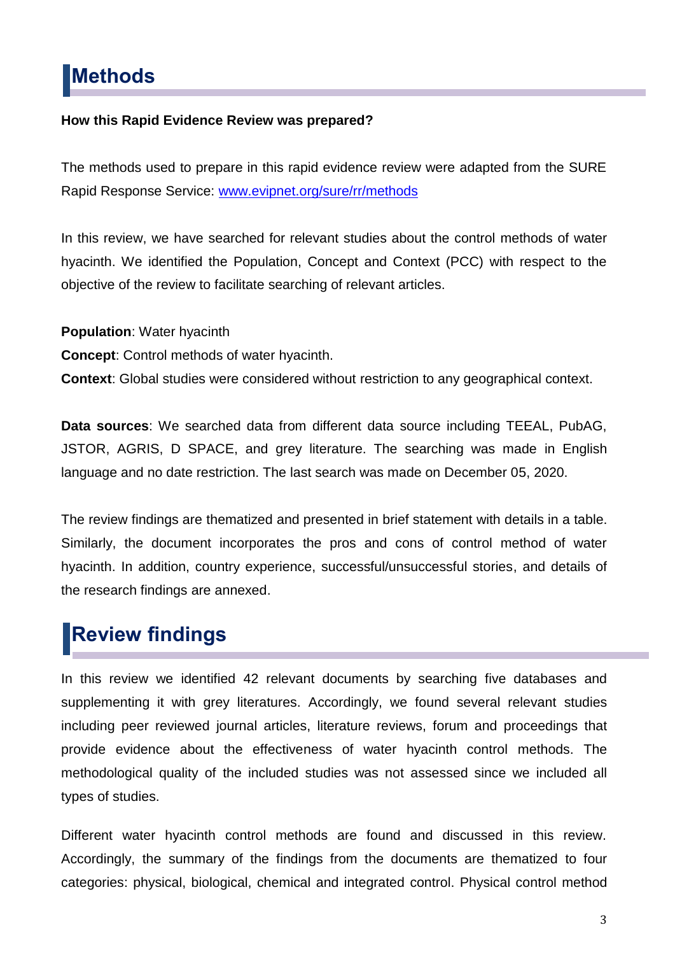# **Methods**

#### **How this Rapid Evidence Review was prepared?**

The methods used to prepare in this rapid evidence review were adapted from the SURE Rapid Response Service: [www.evipnet.org/sure/rr/methods](http://www.evipnet.org/sure/rr/methods)

In this review, we have searched for relevant studies about the control methods of water hyacinth. We identified the Population, Concept and Context (PCC) with respect to the objective of the review to facilitate searching of relevant articles.

**Population**: Water hyacinth **Concept**: Control methods of water hyacinth. **Context**: Global studies were considered without restriction to any geographical context.

**Data sources**: We searched data from different data source including TEEAL, PubAG, JSTOR, AGRIS, D SPACE, and grey literature. The searching was made in English language and no date restriction. The last search was made on December 05, 2020.

The review findings are thematized and presented in brief statement with details in a table. Similarly, the document incorporates the pros and cons of control method of water hyacinth. In addition, country experience, successful/unsuccessful stories, and details of the research findings are annexed.

# **Review findings**

In this review we identified 42 relevant documents by searching five databases and supplementing it with grey literatures. Accordingly, we found several relevant studies including peer reviewed journal articles, literature reviews, forum and proceedings that provide evidence about the effectiveness of water hyacinth control methods. The methodological quality of the included studies was not assessed since we included all types of studies.

Different water hyacinth control methods are found and discussed in this review. Accordingly, the summary of the findings from the documents are thematized to four categories: physical, biological, chemical and integrated control. Physical control method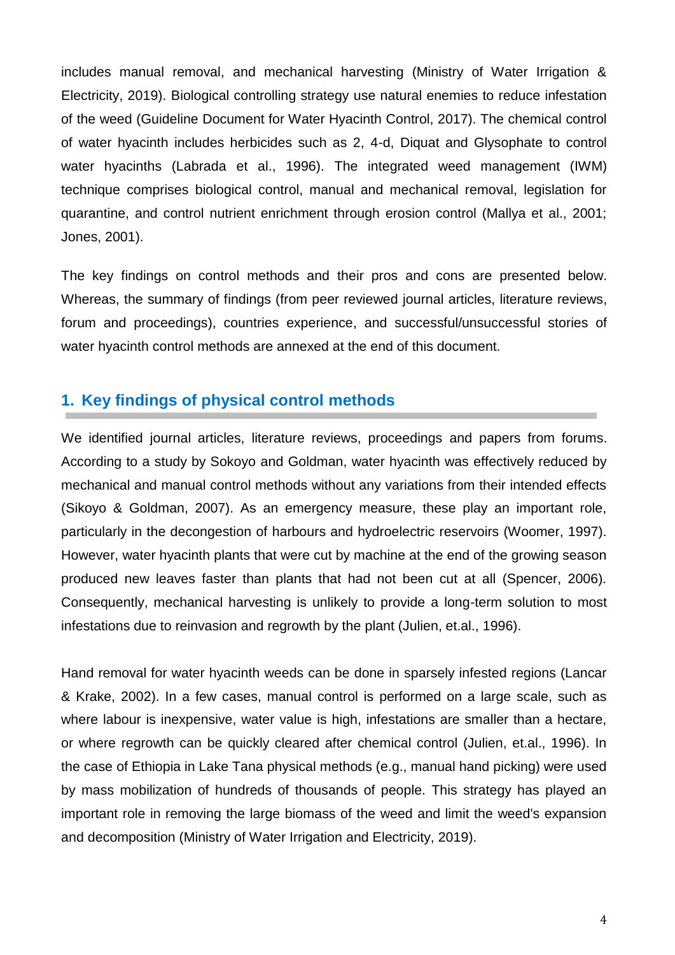includes manual removal, and mechanical harvesting (Ministry of Water Irrigation & Electricity, 2019). Biological controlling strategy use natural enemies to reduce infestation of the weed (Guideline Document for Water Hyacinth Control, 2017). The chemical control of water hyacinth includes herbicides such as 2, 4-d, Diquat and Glysophate to control water hyacinths (Labrada et al., 1996). The integrated weed management (IWM) technique comprises biological control, manual and mechanical removal, legislation for quarantine, and control nutrient enrichment through erosion control (Mallya et al., 2001; Jones, 2001).

The key findings on control methods and their pros and cons are presented below. Whereas, the summary of findings (from peer reviewed journal articles, literature reviews, forum and proceedings), countries experience, and successful/unsuccessful stories of water hyacinth control methods are annexed at the end of this document.

## **1. Key findings of physical control methods**

We identified journal articles, literature reviews, proceedings and papers from forums. According to a study by Sokoyo and Goldman, water hyacinth was effectively reduced by mechanical and manual control methods without any variations from their intended effects (Sikoyo & Goldman, 2007). As an emergency measure, these play an important role, particularly in the decongestion of harbours and hydroelectric reservoirs (Woomer, 1997). However, water hyacinth plants that were cut by machine at the end of the growing season produced new leaves faster than plants that had not been cut at all (Spencer, 2006). Consequently, mechanical harvesting is unlikely to provide a long-term solution to most infestations due to reinvasion and regrowth by the plant (Julien, et.al., 1996).

Hand removal for water hyacinth weeds can be done in sparsely infested regions (Lancar & Krake, 2002). In a few cases, manual control is performed on a large scale, such as where labour is inexpensive, water value is high, infestations are smaller than a hectare, or where regrowth can be quickly cleared after chemical control (Julien, et.al., 1996). In the case of Ethiopia in Lake Tana physical methods (e.g., manual hand picking) were used by mass mobilization of hundreds of thousands of people. This strategy has played an important role in removing the large biomass of the weed and limit the weed's expansion and decomposition (Ministry of Water Irrigation and Electricity, 2019).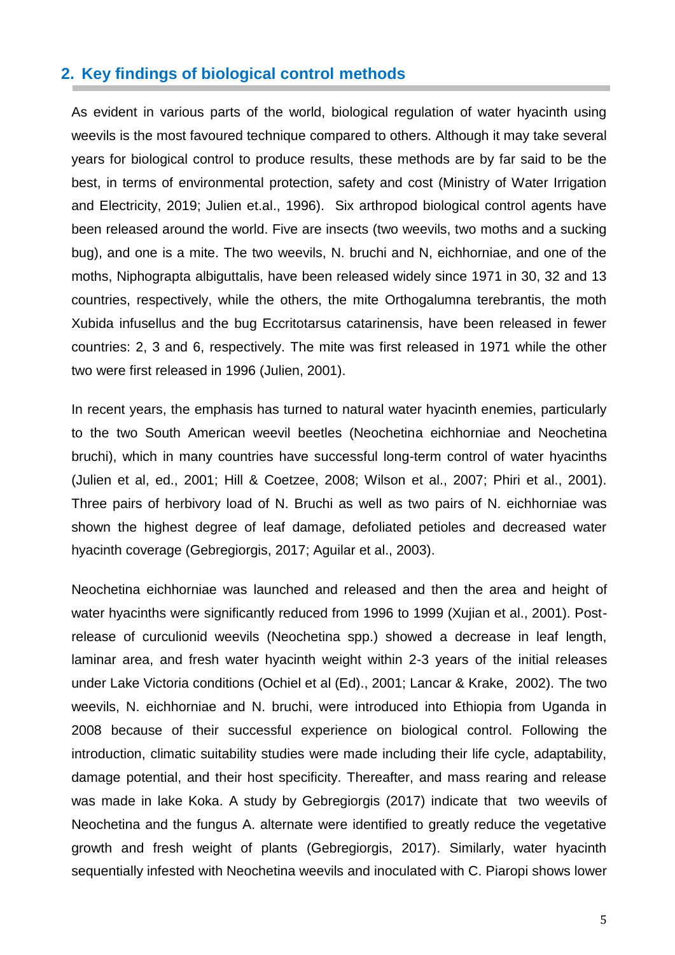## **2. Key findings of biological control methods**

As evident in various parts of the world, biological regulation of water hyacinth using weevils is the most favoured technique compared to others. Although it may take several years for biological control to produce results, these methods are by far said to be the best, in terms of environmental protection, safety and cost (Ministry of Water Irrigation and Electricity, 2019; Julien et.al., 1996). Six arthropod biological control agents have been released around the world. Five are insects (two weevils, two moths and a sucking bug), and one is a mite. The two weevils, N. bruchi and N, eichhorniae, and one of the moths, Niphograpta albiguttalis, have been released widely since 1971 in 30, 32 and 13 countries, respectively, while the others, the mite Orthogalumna terebrantis, the moth Xubida infusellus and the bug Eccritotarsus catarinensis, have been released in fewer countries: 2, 3 and 6, respectively. The mite was first released in 1971 while the other two were first released in 1996 (Julien, 2001).

In recent years, the emphasis has turned to natural water hyacinth enemies, particularly to the two South American weevil beetles (Neochetina eichhorniae and Neochetina bruchi), which in many countries have successful long-term control of water hyacinths (Julien et al, ed., 2001; Hill & Coetzee, 2008; Wilson et al., 2007; Phiri et al., 2001). Three pairs of herbivory load of N. Bruchi as well as two pairs of N. eichhorniae was shown the highest degree of leaf damage, defoliated petioles and decreased water hyacinth coverage (Gebregiorgis, 2017; Aguilar et al., 2003).

Neochetina eichhorniae was launched and released and then the area and height of water hyacinths were significantly reduced from 1996 to 1999 (Xujian et al., 2001). Postrelease of curculionid weevils (Neochetina spp.) showed a decrease in leaf length, laminar area, and fresh water hyacinth weight within 2-3 years of the initial releases under Lake Victoria conditions (Ochiel et al (Ed)., 2001; Lancar & Krake, 2002). The two weevils, N. eichhorniae and N. bruchi, were introduced into Ethiopia from Uganda in 2008 because of their successful experience on biological control. Following the introduction, climatic suitability studies were made including their life cycle, adaptability, damage potential, and their host specificity. Thereafter, and mass rearing and release was made in lake Koka. A study by Gebregiorgis (2017) indicate that two weevils of Neochetina and the fungus A. alternate were identified to greatly reduce the vegetative growth and fresh weight of plants (Gebregiorgis, 2017). Similarly, water hyacinth sequentially infested with Neochetina weevils and inoculated with C. Piaropi shows lower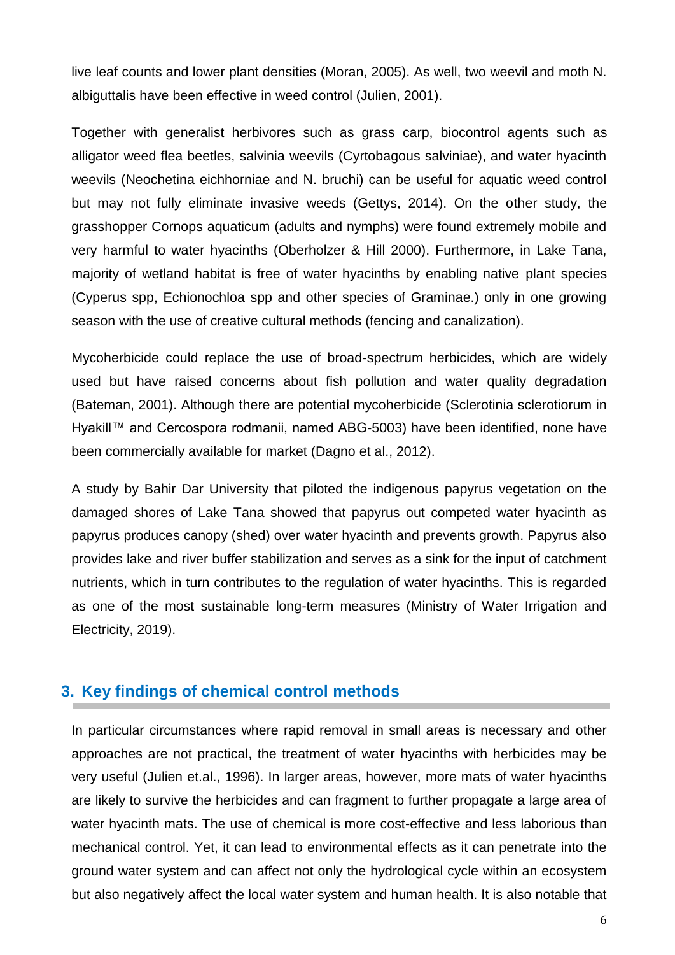live leaf counts and lower plant densities (Moran, 2005). As well, two weevil and moth N. albiguttalis have been effective in weed control (Julien, 2001).

Together with generalist herbivores such as grass carp, biocontrol agents such as alligator weed flea beetles, salvinia weevils (Cyrtobagous salviniae), and water hyacinth weevils (Neochetina eichhorniae and N. bruchi) can be useful for aquatic weed control but may not fully eliminate invasive weeds (Gettys, 2014). On the other study, the grasshopper Cornops aquaticum (adults and nymphs) were found extremely mobile and very harmful to water hyacinths (Oberholzer & Hill 2000). Furthermore, in Lake Tana, majority of wetland habitat is free of water hyacinths by enabling native plant species (Cyperus spp, Echionochloa spp and other species of Graminae.) only in one growing season with the use of creative cultural methods (fencing and canalization).

Mycoherbicide could replace the use of broad-spectrum herbicides, which are widely used but have raised concerns about fish pollution and water quality degradation (Bateman, 2001). Although there are potential mycoherbicide (Sclerotinia sclerotiorum in Hyakill™ and Cercospora rodmanii, named ABG-5003) have been identified, none have been commercially available for market (Dagno et al., 2012).

A study by Bahir Dar University that piloted the indigenous papyrus vegetation on the damaged shores of Lake Tana showed that papyrus out competed water hyacinth as papyrus produces canopy (shed) over water hyacinth and prevents growth. Papyrus also provides lake and river buffer stabilization and serves as a sink for the input of catchment nutrients, which in turn contributes to the regulation of water hyacinths. This is regarded as one of the most sustainable long-term measures (Ministry of Water Irrigation and Electricity, 2019).

## **3. Key findings of chemical control methods**

In particular circumstances where rapid removal in small areas is necessary and other approaches are not practical, the treatment of water hyacinths with herbicides may be very useful (Julien et.al., 1996). In larger areas, however, more mats of water hyacinths are likely to survive the herbicides and can fragment to further propagate a large area of water hyacinth mats. The use of chemical is more cost-effective and less laborious than mechanical control. Yet, it can lead to environmental effects as it can penetrate into the ground water system and can affect not only the hydrological cycle within an ecosystem but also negatively affect the local water system and human health. It is also notable that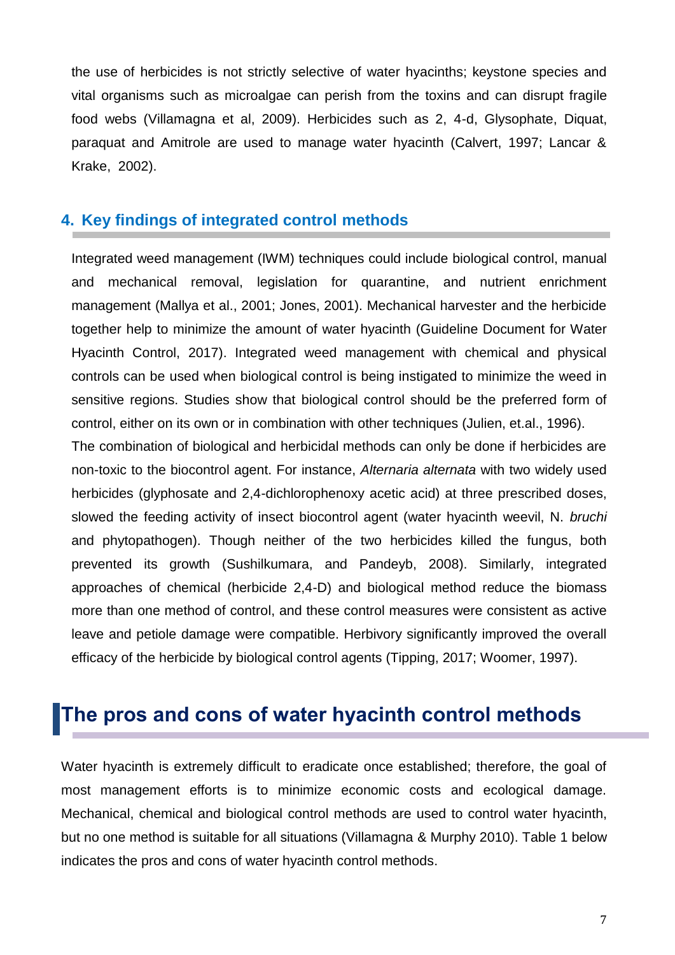the use of herbicides is not strictly selective of water hyacinths; keystone species and vital organisms such as microalgae can perish from the toxins and can disrupt fragile food webs (Villamagna et al, 2009). Herbicides such as 2, 4-d, Glysophate, Diquat, paraquat and Amitrole are used to manage water hyacinth (Calvert, 1997; Lancar & Krake, 2002).

## **4. Key findings of integrated control methods**

Integrated weed management (IWM) techniques could include biological control, manual and mechanical removal, legislation for quarantine, and nutrient enrichment management (Mallya et al., 2001; Jones, 2001). Mechanical harvester and the herbicide together help to minimize the amount of water hyacinth (Guideline Document for Water Hyacinth Control, 2017). Integrated weed management with chemical and physical controls can be used when biological control is being instigated to minimize the weed in sensitive regions. Studies show that biological control should be the preferred form of control, either on its own or in combination with other techniques (Julien, et.al., 1996).

The combination of biological and herbicidal methods can only be done if herbicides are non-toxic to the biocontrol agent. For instance, *Alternaria alternata* with two widely used herbicides (glyphosate and 2,4-dichlorophenoxy acetic acid) at three prescribed doses, slowed the feeding activity of insect biocontrol agent (water hyacinth weevil, N. *bruchi* and phytopathogen). Though neither of the two herbicides killed the fungus, both prevented its growth (Sushilkumara, and Pandeyb, 2008). Similarly, integrated approaches of chemical (herbicide 2,4-D) and biological method reduce the biomass more than one method of control, and these control measures were consistent as active leave and petiole damage were compatible. Herbivory significantly improved the overall efficacy of the herbicide by biological control agents (Tipping, 2017; Woomer, 1997).

# **The pros and cons of water hyacinth control methods**

Water hyacinth is extremely difficult to eradicate once established; therefore, the goal of most management efforts is to minimize economic costs and ecological damage. Mechanical, chemical and biological control methods are used to control water hyacinth, but no one method is suitable for all situations (Villamagna & Murphy 2010). Table 1 below indicates the pros and cons of water hyacinth control methods.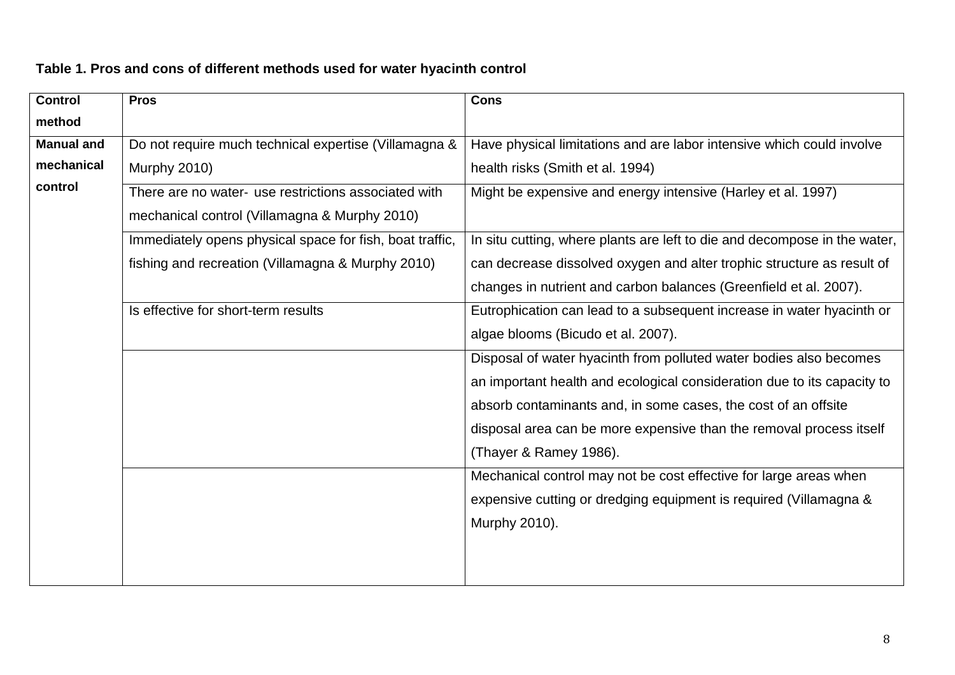| <b>Pros</b>                                              | <b>Cons</b>                                                               |  |
|----------------------------------------------------------|---------------------------------------------------------------------------|--|
|                                                          |                                                                           |  |
| Do not require much technical expertise (Villamagna &    | Have physical limitations and are labor intensive which could involve     |  |
| Murphy 2010)                                             | health risks (Smith et al. 1994)                                          |  |
| There are no water- use restrictions associated with     | Might be expensive and energy intensive (Harley et al. 1997)              |  |
| mechanical control (Villamagna & Murphy 2010)            |                                                                           |  |
| Immediately opens physical space for fish, boat traffic, | In situ cutting, where plants are left to die and decompose in the water, |  |
| fishing and recreation (Villamagna & Murphy 2010)        | can decrease dissolved oxygen and alter trophic structure as result of    |  |
|                                                          | changes in nutrient and carbon balances (Greenfield et al. 2007).         |  |
| Is effective for short-term results                      | Eutrophication can lead to a subsequent increase in water hyacinth or     |  |
|                                                          | algae blooms (Bicudo et al. 2007).                                        |  |
|                                                          | Disposal of water hyacinth from polluted water bodies also becomes        |  |
|                                                          | an important health and ecological consideration due to its capacity to   |  |
|                                                          | absorb contaminants and, in some cases, the cost of an offsite            |  |
|                                                          | disposal area can be more expensive than the removal process itself       |  |
|                                                          | (Thayer & Ramey 1986).                                                    |  |
|                                                          | Mechanical control may not be cost effective for large areas when         |  |
|                                                          | expensive cutting or dredging equipment is required (Villamagna &         |  |
|                                                          | Murphy 2010).                                                             |  |
|                                                          |                                                                           |  |
|                                                          |                                                                           |  |
|                                                          |                                                                           |  |

## **Table 1. Pros and cons of different methods used for water hyacinth control**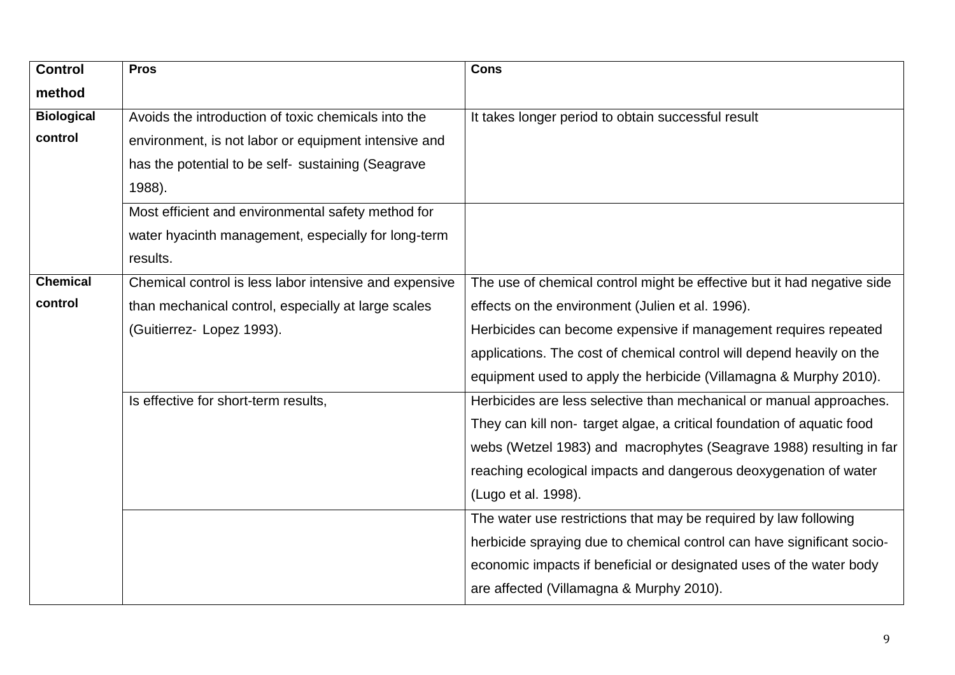| <b>Control</b>    | <b>Pros</b>                                            | <b>Cons</b>                                                             |
|-------------------|--------------------------------------------------------|-------------------------------------------------------------------------|
| method            |                                                        |                                                                         |
| <b>Biological</b> | Avoids the introduction of toxic chemicals into the    | It takes longer period to obtain successful result                      |
| control           | environment, is not labor or equipment intensive and   |                                                                         |
|                   | has the potential to be self- sustaining (Seagrave     |                                                                         |
|                   | 1988).                                                 |                                                                         |
|                   | Most efficient and environmental safety method for     |                                                                         |
|                   | water hyacinth management, especially for long-term    |                                                                         |
|                   | results.                                               |                                                                         |
| <b>Chemical</b>   | Chemical control is less labor intensive and expensive | The use of chemical control might be effective but it had negative side |
| control           | than mechanical control, especially at large scales    | effects on the environment (Julien et al. 1996).                        |
|                   | (Guitierrez- Lopez 1993).                              | Herbicides can become expensive if management requires repeated         |
|                   |                                                        | applications. The cost of chemical control will depend heavily on the   |
|                   |                                                        | equipment used to apply the herbicide (Villamagna & Murphy 2010).       |
|                   | Is effective for short-term results,                   | Herbicides are less selective than mechanical or manual approaches.     |
|                   |                                                        | They can kill non-target algae, a critical foundation of aquatic food   |
|                   |                                                        | webs (Wetzel 1983) and macrophytes (Seagrave 1988) resulting in far     |
|                   |                                                        | reaching ecological impacts and dangerous deoxygenation of water        |
|                   |                                                        | (Lugo et al. 1998).                                                     |
|                   |                                                        | The water use restrictions that may be required by law following        |
|                   |                                                        | herbicide spraying due to chemical control can have significant socio-  |
|                   |                                                        | economic impacts if beneficial or designated uses of the water body     |
|                   |                                                        | are affected (Villamagna & Murphy 2010).                                |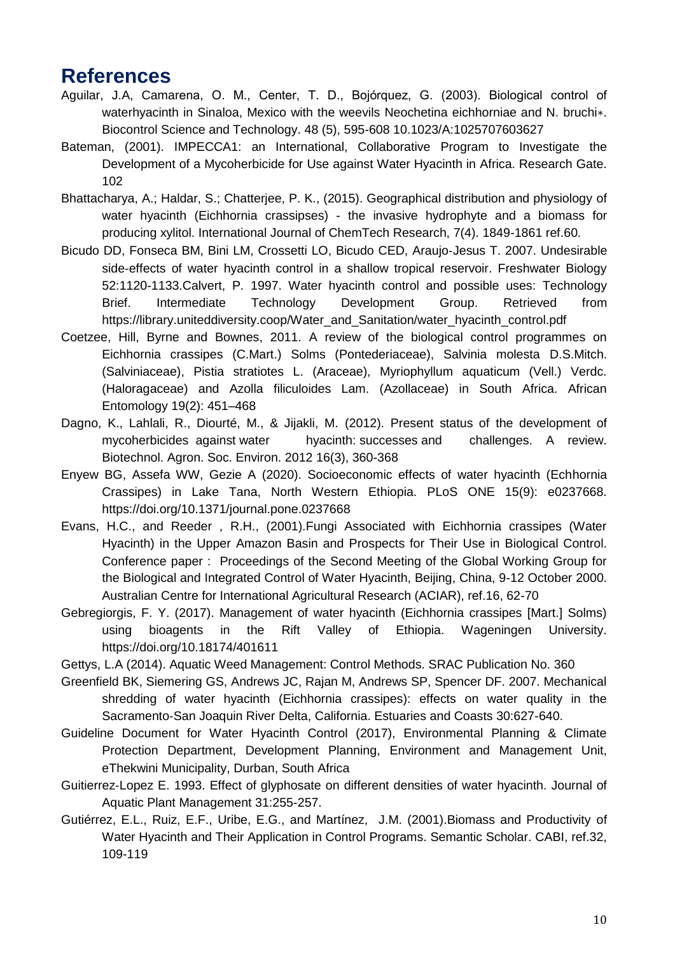## **References**

- Aguilar, J.A, Camarena, O. M., Center, T. D., Bojórquez, G. (2003). Biological control of waterhyacinth in Sinaloa, Mexico with the weevils Neochetina eichhorniae and N. bruchi∗. Biocontrol Science and Technology. 48 (5), 595-608 10.1023/A:1025707603627
- Bateman, (2001). IMPECCA1: an International, Collaborative Program to Investigate the Development of a Mycoherbicide for Use against Water Hyacinth in Africa. Research Gate. 102
- Bhattacharya, A.; Haldar, S.; Chatterjee, P. K., (2015). Geographical distribution and physiology of water hyacinth (Eichhornia crassipses) - the invasive hydrophyte and a biomass for producing xylitol. International Journal of ChemTech Research, 7(4). 1849-1861 ref.60.
- Bicudo DD, Fonseca BM, Bini LM, Crossetti LO, Bicudo CED, Araujo‐Jesus T. 2007. Undesirable side-effects of water hyacinth control in a shallow tropical reservoir. Freshwater Biology 52:1120-1133.Calvert, P. 1997. Water hyacinth control and possible uses: Technology Brief. Intermediate Technology Development Group. Retrieved from https://library.uniteddiversity.coop/Water\_and\_Sanitation/water\_hyacinth\_control.pdf
- Coetzee, Hill, Byrne and Bownes, 2011. A review of the biological control programmes on Eichhornia crassipes (C.Mart.) Solms (Pontederiaceae), Salvinia molesta D.S.Mitch. (Salviniaceae), Pistia stratiotes L. (Araceae), Myriophyllum aquaticum (Vell.) Verdc. (Haloragaceae) and Azolla filiculoides Lam. (Azollaceae) in South Africa. African Entomology 19(2): 451–468
- Dagno, K., Lahlali, R., Diourté, M., & Jijakli, M. (2012). Present status of the development of mycoherbicides against water hyacinth: successes and challenges. A review. Biotechnol. Agron. Soc. Environ. 2012 16(3), 360-368
- Enyew BG, Assefa WW, Gezie A (2020). Socioeconomic effects of water hyacinth (Echhornia Crassipes) in Lake Tana, North Western Ethiopia. PLoS ONE 15(9): e0237668. https://doi.org/10.1371/journal.pone.0237668
- Evans, H.C., and Reeder , R.H., (2001).Fungi Associated with Eichhornia crassipes (Water Hyacinth) in the Upper Amazon Basin and Prospects for Their Use in Biological Control. Conference paper : Proceedings of the Second Meeting of the Global Working Group for the Biological and Integrated Control of Water Hyacinth, Beijing, China, 9-12 October 2000. Australian Centre for International Agricultural Research (ACIAR), ref.16, 62-70
- Gebregiorgis, F. Y. (2017). Management of water hyacinth (Eichhornia crassipes [Mart.] Solms) using bioagents in the Rift Valley of Ethiopia. Wageningen University. https://doi.org/10.18174/401611
- Gettys, L.A (2014). Aquatic Weed Management: Control Methods. SRAC Publication No. 360
- Greenfield BK, Siemering GS, Andrews JC, Rajan M, Andrews SP, Spencer DF. 2007. Mechanical shredding of water hyacinth (Eichhornia crassipes): effects on water quality in the Sacramento‐San Joaquin River Delta, California. Estuaries and Coasts 30:627-640.
- Guideline Document for Water Hyacinth Control (2017), Environmental Planning & Climate Protection Department, Development Planning, Environment and Management Unit, eThekwini Municipality, Durban, South Africa
- Guitierrez‐Lopez E. 1993. Effect of glyphosate on different densities of water hyacinth. Journal of Aquatic Plant Management 31:255-257.
- Gutiérrez, E.L., Ruiz, E.F., Uribe, E.G., and Martínez, J.M. (2001).Biomass and Productivity of Water Hyacinth and Their Application in Control Programs. Semantic Scholar. CABI, ref.32, 109-119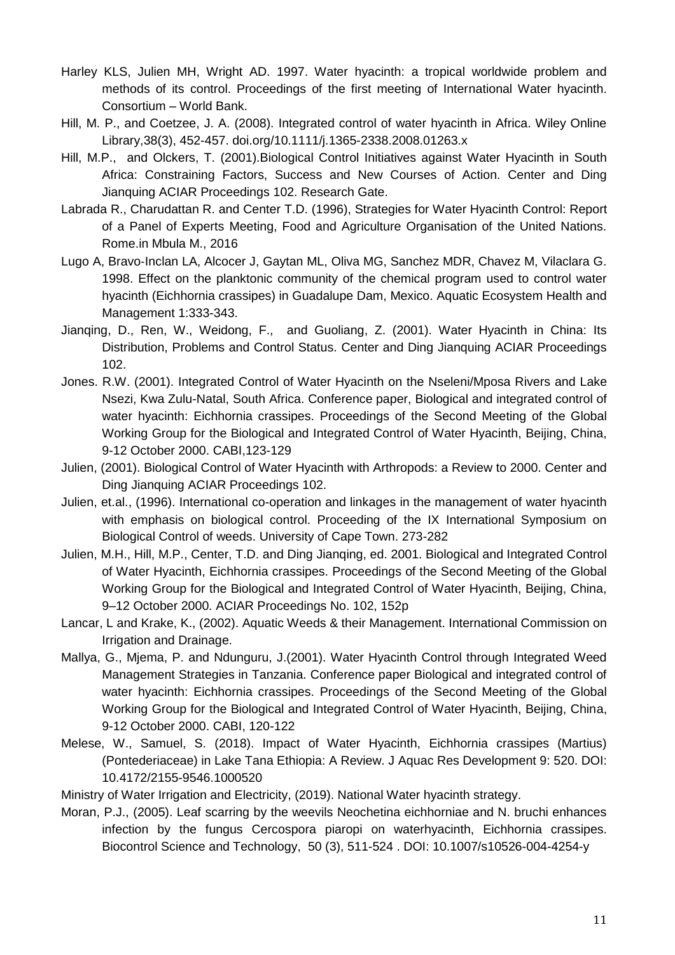- Harley KLS, Julien MH, Wright AD. 1997. Water hyacinth: a tropical worldwide problem and methods of its control. Proceedings of the first meeting of International Water hyacinth. Consortium – World Bank.
- Hill, M. P., and Coetzee, J. A. (2008). Integrated control of water hyacinth in Africa. Wiley Online Library,38(3), 452-457. doi.org/10.1111/j.1365-2338.2008.01263.x
- Hill, M.P., and Olckers, T. (2001).Biological Control Initiatives against Water Hyacinth in South Africa: Constraining Factors, Success and New Courses of Action. Center and Ding Jianquing ACIAR Proceedings 102. Research Gate.
- Labrada R., Charudattan R. and Center T.D. (1996), Strategies for Water Hyacinth Control: Report of a Panel of Experts Meeting, Food and Agriculture Organisation of the United Nations. Rome.in Mbula M., 2016
- Lugo A, Bravo‐Inclan LA, Alcocer J, Gaytan ML, Oliva MG, Sanchez MDR, Chavez M, Vilaclara G. 1998. Effect on the planktonic community of the chemical program used to control water hyacinth (Eichhornia crassipes) in Guadalupe Dam, Mexico. Aquatic Ecosystem Health and Management 1:333-343.
- Jianqing, D., Ren, W., Weidong, F., and Guoliang, Z. (2001). Water Hyacinth in China: Its Distribution, Problems and Control Status. Center and Ding Jianquing ACIAR Proceedings 102.
- Jones. R.W. (2001). Integrated Control of Water Hyacinth on the Nseleni/Mposa Rivers and Lake Nsezi, Kwa Zulu-Natal, South Africa. Conference paper, Biological and integrated control of water hyacinth: Eichhornia crassipes. Proceedings of the Second Meeting of the Global Working Group for the Biological and Integrated Control of Water Hyacinth, Beijing, China, 9-12 October 2000. CABI,123-129
- Julien, (2001). Biological Control of Water Hyacinth with Arthropods: a Review to 2000. Center and Ding Jianquing ACIAR Proceedings 102.
- Julien, et.al., (1996). International co-operation and linkages in the management of water hyacinth with emphasis on biological control. Proceeding of the IX International Symposium on Biological Control of weeds. University of Cape Town. 273-282
- Julien, M.H., Hill, M.P., Center, T.D. and Ding Jianqing, ed. 2001. Biological and Integrated Control of Water Hyacinth, Eichhornia crassipes. Proceedings of the Second Meeting of the Global Working Group for the Biological and Integrated Control of Water Hyacinth, Beijing, China, 9–12 October 2000. ACIAR Proceedings No. 102, 152p
- Lancar, L and Krake, K., (2002). Aquatic Weeds & their Management. International Commission on Irrigation and Drainage.
- Mallya, G., Mjema, P. and Ndunguru, J.(2001). Water Hyacinth Control through Integrated Weed Management Strategies in Tanzania. Conference paper Biological and integrated control of water hyacinth: Eichhornia crassipes. Proceedings of the Second Meeting of the Global Working Group for the Biological and Integrated Control of Water Hyacinth, Beijing, China, 9-12 October 2000. CABI, 120-122
- Melese, W., Samuel, S. (2018). Impact of Water Hyacinth, Eichhornia crassipes (Martius) (Pontederiaceae) in Lake Tana Ethiopia: A Review. J Aquac Res Development 9: 520. DOI: 10.4172/2155-9546.1000520

Ministry of Water Irrigation and Electricity, (2019). National Water hyacinth strategy.

Moran, P.J., (2005). Leaf scarring by the weevils Neochetina eichhorniae and N. bruchi enhances infection by the fungus Cercospora piaropi on waterhyacinth, Eichhornia crassipes. Biocontrol Science and Technology, 50 (3), 511-524 . DOI: 10.1007/s10526-004-4254-y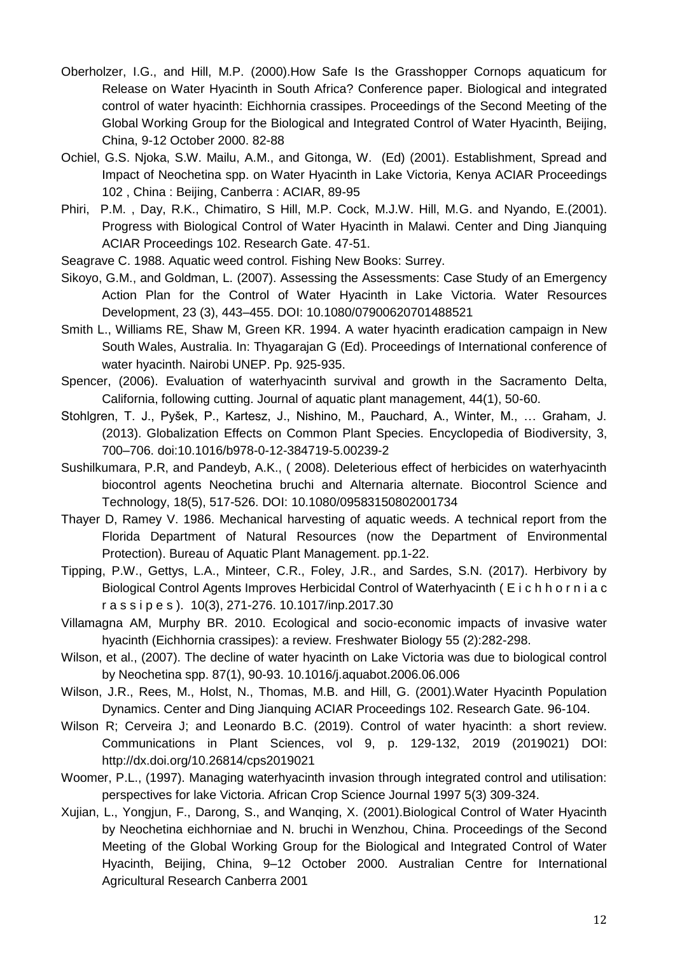- Oberholzer, I.G., and Hill, M.P. (2000).How Safe Is the Grasshopper Cornops aquaticum for Release on Water Hyacinth in South Africa? Conference paper. Biological and integrated control of water hyacinth: Eichhornia crassipes. Proceedings of the Second Meeting of the Global Working Group for the Biological and Integrated Control of Water Hyacinth, Beijing, China, 9-12 October 2000. 82-88
- Ochiel, G.S. Njoka, S.W. Mailu, A.M., and Gitonga, W. (Ed) (2001). Establishment, Spread and Impact of Neochetina spp. on Water Hyacinth in Lake Victoria, Kenya ACIAR Proceedings 102 , China : Beijing, Canberra : ACIAR, 89-95
- Phiri, P.M. , Day, R.K., Chimatiro, S Hill, M.P. Cock, M.J.W. Hill, M.G. and Nyando, E.(2001). Progress with Biological Control of Water Hyacinth in Malawi. Center and Ding Jianquing ACIAR Proceedings 102. Research Gate. 47-51.
- Seagrave C. 1988. Aquatic weed control. Fishing New Books: Surrey.
- Sikoyo, G.M., and Goldman, L. (2007). Assessing the Assessments: Case Study of an Emergency Action Plan for the Control of Water Hyacinth in Lake Victoria. Water Resources Development, 23 (3), 443–455. DOI: 10.1080/07900620701488521
- Smith L., Williams RE, Shaw M, Green KR. 1994. A water hyacinth eradication campaign in New South Wales, Australia. In: Thyagarajan G (Ed). Proceedings of International conference of water hyacinth. Nairobi UNEP. Pp. 925-935.
- Spencer, (2006). Evaluation of waterhyacinth survival and growth in the Sacramento Delta, California, following cutting. Journal of aquatic plant management, 44(1), 50-60.
- Stohlgren, T. J., Pyšek, P., Kartesz, J., Nishino, M., Pauchard, A., Winter, M., ... Graham, J. (2013). Globalization Effects on Common Plant Species. Encyclopedia of Biodiversity, 3, 700–706. doi:10.1016/b978-0-12-384719-5.00239-2
- Sushilkumara, P.R, and Pandeyb, A.K., ( 2008). Deleterious effect of herbicides on waterhyacinth biocontrol agents Neochetina bruchi and Alternaria alternate. Biocontrol Science and Technology, 18(5), 517-526. DOI: 10.1080/09583150802001734
- Thayer D, Ramey V. 1986. Mechanical harvesting of aquatic weeds. A technical report from the Florida Department of Natural Resources (now the Department of Environmental Protection). Bureau of Aquatic Plant Management. pp.1-22.
- Tipping, P.W., Gettys, L.A., Minteer, C.R., Foley, J.R., and Sardes, S.N. (2017). Herbivory by Biological Control Agents Improves Herbicidal Control of Waterhyacinth ( E i c h h o r n i a c r a s s i p e s ). 10(3), 271-276. 10.1017/inp.2017.30
- Villamagna AM, Murphy BR. 2010. Ecological and socio‐economic impacts of invasive water hyacinth (Eichhornia crassipes): a review. Freshwater Biology 55 (2):282-298.
- Wilson, et al., (2007). The decline of water hyacinth on Lake Victoria was due to biological control by Neochetina spp. 87(1), 90-93. 10.1016/j.aquabot.2006.06.006
- Wilson, J.R., Rees, M., Holst, N., Thomas, M.B. and Hill, G. (2001).Water Hyacinth Population Dynamics. Center and Ding Jianquing ACIAR Proceedings 102. Research Gate. 96-104.
- Wilson R; Cerveira J; and Leonardo B.C. (2019). Control of water hyacinth: a short review. Communications in Plant Sciences, vol 9, p. 129-132, 2019 (2019021) DOI: http://dx.doi.org/10.26814/cps2019021
- Woomer, P.L., (1997). Managing waterhyacinth invasion through integrated control and utilisation: perspectives for lake Victoria. African Crop Science Journal 1997 5(3) 309-324.
- Xujian, L., Yongjun, F., Darong, S., and Wanqing, X. (2001).Biological Control of Water Hyacinth by Neochetina eichhorniae and N. bruchi in Wenzhou, China. Proceedings of the Second Meeting of the Global Working Group for the Biological and Integrated Control of Water Hyacinth, Beijing, China, 9–12 October 2000. Australian Centre for International Agricultural Research Canberra 2001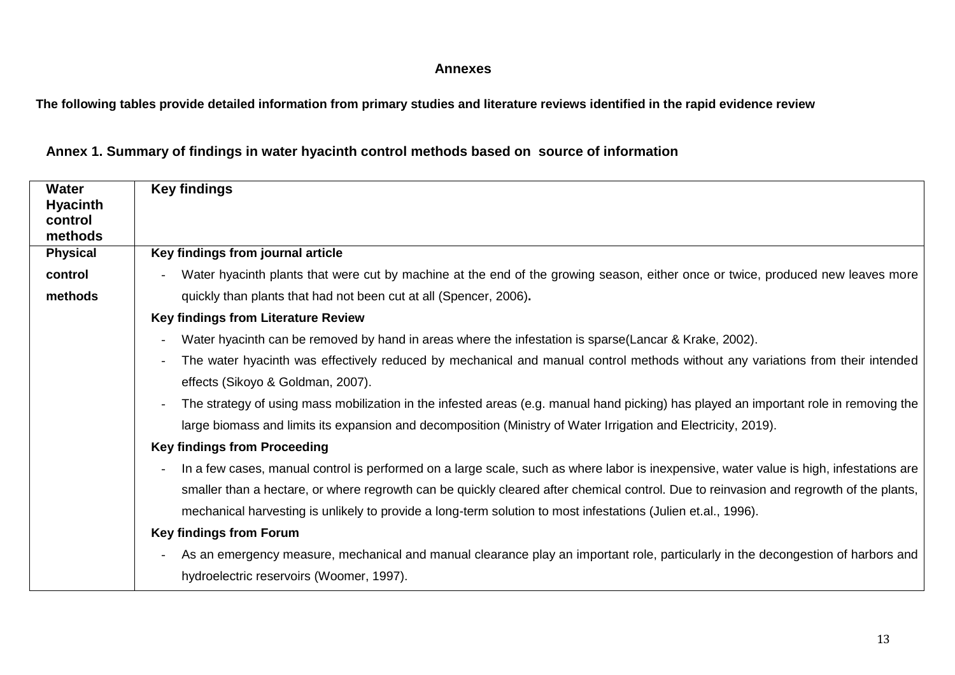#### **Annexes**

**The following tables provide detailed information from primary studies and literature reviews identified in the rapid evidence review**

| <b>Water</b><br><b>Hyacinth</b><br>control | <b>Key findings</b>                                                                                                                     |  |  |  |
|--------------------------------------------|-----------------------------------------------------------------------------------------------------------------------------------------|--|--|--|
| methods                                    |                                                                                                                                         |  |  |  |
| <b>Physical</b>                            | Key findings from journal article                                                                                                       |  |  |  |
| control                                    | Water hyacinth plants that were cut by machine at the end of the growing season, either once or twice, produced new leaves more         |  |  |  |
| methods                                    | quickly than plants that had not been cut at all (Spencer, 2006).                                                                       |  |  |  |
|                                            | <b>Key findings from Literature Review</b>                                                                                              |  |  |  |
|                                            | Water hyacinth can be removed by hand in areas where the infestation is sparse(Lancar & Krake, 2002).                                   |  |  |  |
|                                            | The water hyacinth was effectively reduced by mechanical and manual control methods without any variations from their intended          |  |  |  |
|                                            | effects (Sikoyo & Goldman, 2007).                                                                                                       |  |  |  |
|                                            | The strategy of using mass mobilization in the infested areas (e.g. manual hand picking) has played an important role in removing the   |  |  |  |
|                                            | large biomass and limits its expansion and decomposition (Ministry of Water Irrigation and Electricity, 2019).                          |  |  |  |
|                                            | <b>Key findings from Proceeding</b>                                                                                                     |  |  |  |
|                                            | In a few cases, manual control is performed on a large scale, such as where labor is inexpensive, water value is high, infestations are |  |  |  |
|                                            | smaller than a hectare, or where regrowth can be quickly cleared after chemical control. Due to reinvasion and regrowth of the plants,  |  |  |  |
|                                            | mechanical harvesting is unlikely to provide a long-term solution to most infestations (Julien et.al., 1996).                           |  |  |  |
|                                            | <b>Key findings from Forum</b>                                                                                                          |  |  |  |
|                                            | As an emergency measure, mechanical and manual clearance play an important role, particularly in the decongestion of harbors and        |  |  |  |
|                                            | hydroelectric reservoirs (Woomer, 1997).                                                                                                |  |  |  |

**Annex 1. Summary of findings in water hyacinth control methods based on source of information**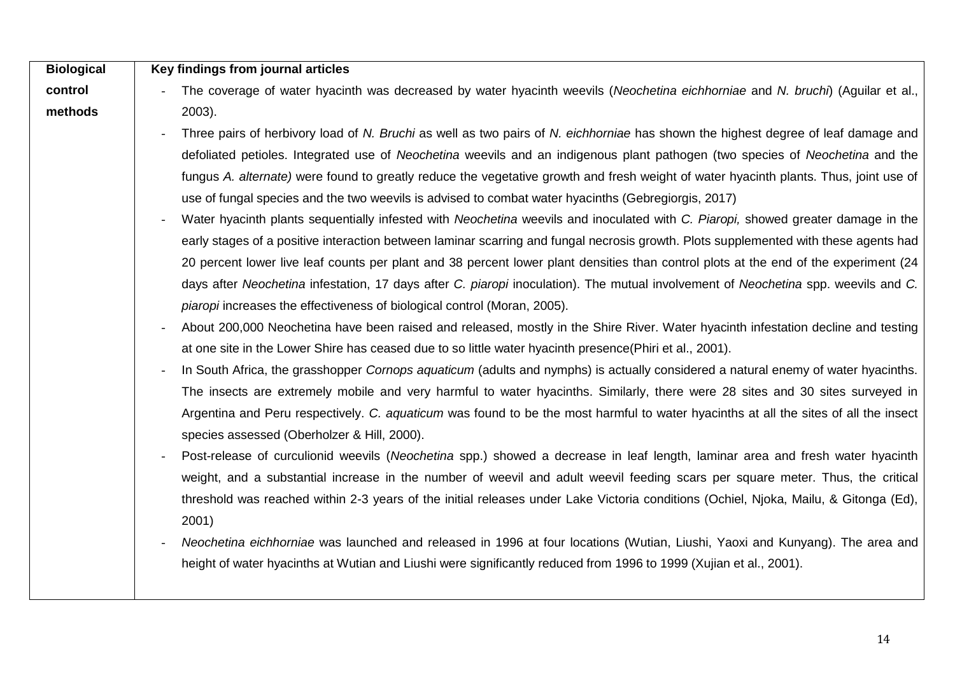| <b>Biological</b> | Key findings from journal articles                                                                                                                            |
|-------------------|---------------------------------------------------------------------------------------------------------------------------------------------------------------|
| control           | The coverage of water hyacinth was decreased by water hyacinth weevils (Neochetina eichhorniae and N. bruchi) (Aguilar et al.,                                |
| methods           | $2003$ ).                                                                                                                                                     |
|                   | Three pairs of herbivory load of N. Bruchi as well as two pairs of N. eichhorniae has shown the highest degree of leaf damage and                             |
|                   | defoliated petioles. Integrated use of Neochetina weevils and an indigenous plant pathogen (two species of Neochetina and the                                 |
|                   | fungus A. alternate) were found to greatly reduce the vegetative growth and fresh weight of water hyacinth plants. Thus, joint use of                         |
|                   | use of fungal species and the two weevils is advised to combat water hyacinths (Gebregiorgis, 2017)                                                           |
|                   | Water hyacinth plants sequentially infested with Neochetina weevils and inoculated with C. Piaropi, showed greater damage in the                              |
|                   | early stages of a positive interaction between laminar scarring and fungal necrosis growth. Plots supplemented with these agents had                          |
|                   | 20 percent lower live leaf counts per plant and 38 percent lower plant densities than control plots at the end of the experiment (24                          |
|                   | days after Neochetina infestation, 17 days after C. piaropi inoculation). The mutual involvement of Neochetina spp. weevils and C.                            |
|                   | piaropi increases the effectiveness of biological control (Moran, 2005).                                                                                      |
|                   | About 200,000 Neochetina have been raised and released, mostly in the Shire River. Water hyacinth infestation decline and testing                             |
|                   | at one site in the Lower Shire has ceased due to so little water hyacinth presence (Phiri et al., 2001).                                                      |
|                   | In South Africa, the grasshopper Cornops aquaticum (adults and nymphs) is actually considered a natural enemy of water hyacinths.<br>$\overline{\phantom{a}}$ |
|                   | The insects are extremely mobile and very harmful to water hyacinths. Similarly, there were 28 sites and 30 sites surveyed in                                 |
|                   | Argentina and Peru respectively. C. aquaticum was found to be the most harmful to water hyacinths at all the sites of all the insect                          |
|                   | species assessed (Oberholzer & Hill, 2000).                                                                                                                   |
|                   | Post-release of curculionid weevils (Neochetina spp.) showed a decrease in leaf length, laminar area and fresh water hyacinth                                 |
|                   | weight, and a substantial increase in the number of weevil and adult weevil feeding scars per square meter. Thus, the critical                                |
|                   | threshold was reached within 2-3 years of the initial releases under Lake Victoria conditions (Ochiel, Njoka, Mailu, & Gitonga (Ed),                          |
|                   | 2001)                                                                                                                                                         |
|                   | Neochetina eichhorniae was launched and released in 1996 at four locations (Wutian, Liushi, Yaoxi and Kunyang). The area and                                  |
|                   | height of water hyacinths at Wutian and Liushi were significantly reduced from 1996 to 1999 (Xujian et al., 2001).                                            |
|                   |                                                                                                                                                               |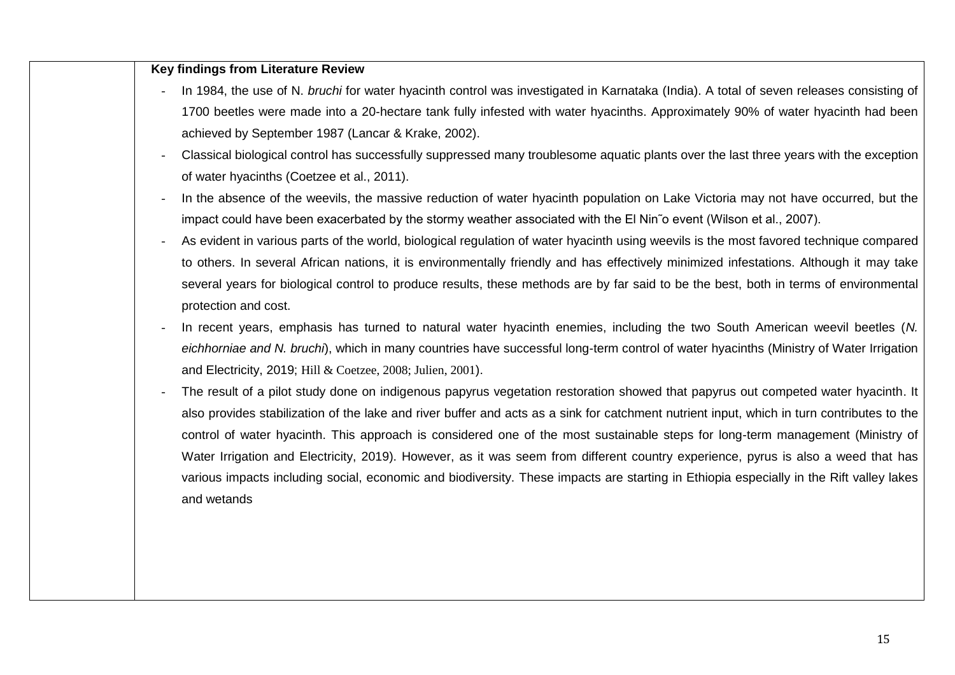| <b>Key findings from Literature Review</b>                                                                                                                                                            |
|-------------------------------------------------------------------------------------------------------------------------------------------------------------------------------------------------------|
| In 1984, the use of N. bruchi for water hyacinth control was investigated in Karnataka (India). A total of seven releases consisting of                                                               |
| 1700 beetles were made into a 20-hectare tank fully infested with water hyacinths. Approximately 90% of water hyacinth had been                                                                       |
| achieved by September 1987 (Lancar & Krake, 2002).                                                                                                                                                    |
| Classical biological control has successfully suppressed many troublesome aquatic plants over the last three years with the exception                                                                 |
| of water hyacinths (Coetzee et al., 2011).                                                                                                                                                            |
| In the absence of the weevils, the massive reduction of water hyacinth population on Lake Victoria may not have occurred, but the<br>$\overline{\phantom{a}}$                                         |
| impact could have been exacerbated by the stormy weather associated with the El Nin o event (Wilson et al., 2007).                                                                                    |
| As evident in various parts of the world, biological regulation of water hyacinth using weevils is the most favored technique compared                                                                |
| to others. In several African nations, it is environmentally friendly and has effectively minimized infestations. Although it may take                                                                |
| several years for biological control to produce results, these methods are by far said to be the best, both in terms of environmental<br>protection and cost.                                         |
| In recent years, emphasis has turned to natural water hyacinth enemies, including the two South American weevil beetles (N.                                                                           |
| eichhorniae and N. bruchi), which in many countries have successful long-term control of water hyacinths (Ministry of Water Irrigation<br>and Electricity, 2019; Hill & Coetzee, 2008; Julien, 2001). |
| The result of a pilot study done on indigenous papyrus vegetation restoration showed that papyrus out competed water hyacinth. It                                                                     |
| also provides stabilization of the lake and river buffer and acts as a sink for catchment nutrient input, which in turn contributes to the                                                            |
| control of water hyacinth. This approach is considered one of the most sustainable steps for long-term management (Ministry of                                                                        |
| Water Irrigation and Electricity, 2019). However, as it was seem from different country experience, pyrus is also a weed that has                                                                     |
| various impacts including social, economic and biodiversity. These impacts are starting in Ethiopia especially in the Rift valley lakes                                                               |
| and wetands                                                                                                                                                                                           |
|                                                                                                                                                                                                       |
|                                                                                                                                                                                                       |
|                                                                                                                                                                                                       |
|                                                                                                                                                                                                       |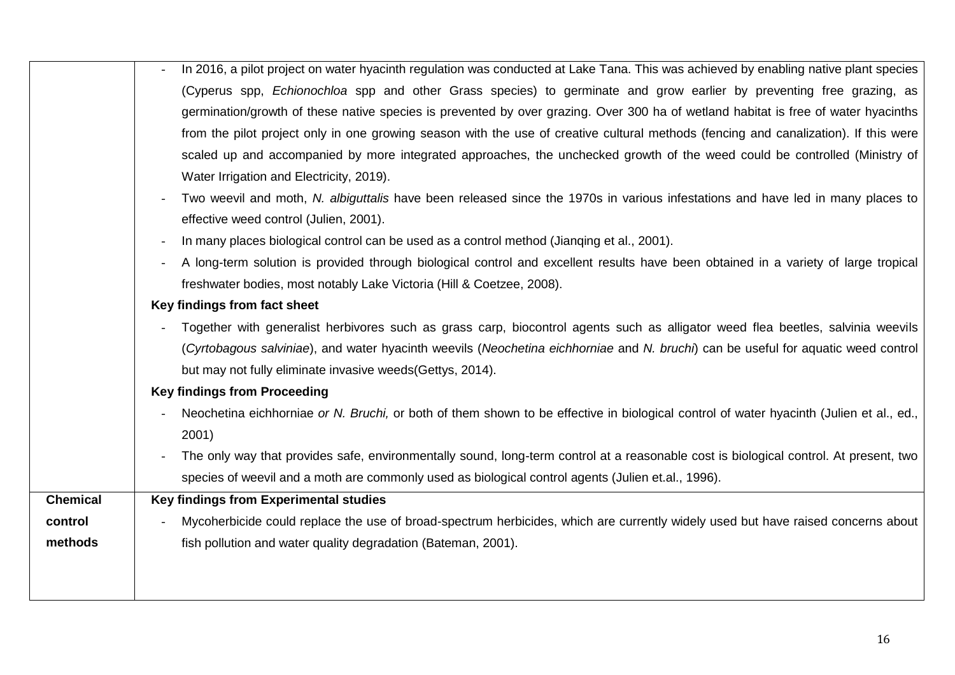|                 | In 2016, a pilot project on water hyacinth regulation was conducted at Lake Tana. This was achieved by enabling native plant species    |
|-----------------|-----------------------------------------------------------------------------------------------------------------------------------------|
|                 | (Cyperus spp, Echionochloa spp and other Grass species) to germinate and grow earlier by preventing free grazing, as                    |
|                 | germination/growth of these native species is prevented by over grazing. Over 300 ha of wetland habitat is free of water hyacinths      |
|                 | from the pilot project only in one growing season with the use of creative cultural methods (fencing and canalization). If this were    |
|                 | scaled up and accompanied by more integrated approaches, the unchecked growth of the weed could be controlled (Ministry of              |
|                 | Water Irrigation and Electricity, 2019).                                                                                                |
|                 | Two weevil and moth, N. albiguttalis have been released since the 1970s in various infestations and have led in many places to          |
|                 | effective weed control (Julien, 2001).                                                                                                  |
|                 | In many places biological control can be used as a control method (Jianging et al., 2001).                                              |
|                 | A long-term solution is provided through biological control and excellent results have been obtained in a variety of large tropical     |
|                 | freshwater bodies, most notably Lake Victoria (Hill & Coetzee, 2008).                                                                   |
|                 | Key findings from fact sheet                                                                                                            |
|                 | Together with generalist herbivores such as grass carp, biocontrol agents such as alligator weed flea beetles, salvinia weevils         |
|                 | (Cyrtobagous salviniae), and water hyacinth weevils (Neochetina eichhorniae and N. bruchi) can be useful for aquatic weed control       |
|                 | but may not fully eliminate invasive weeds (Gettys, 2014).                                                                              |
|                 | <b>Key findings from Proceeding</b>                                                                                                     |
|                 | Neochetina eichhorniae or N. Bruchi, or both of them shown to be effective in biological control of water hyacinth (Julien et al., ed., |
|                 | 2001)                                                                                                                                   |
|                 | The only way that provides safe, environmentally sound, long-term control at a reasonable cost is biological control. At present, two   |
|                 | species of weevil and a moth are commonly used as biological control agents (Julien et.al., 1996).                                      |
| <b>Chemical</b> | Key findings from Experimental studies                                                                                                  |
| control         | Mycoherbicide could replace the use of broad-spectrum herbicides, which are currently widely used but have raised concerns about        |
| methods         | fish pollution and water quality degradation (Bateman, 2001).                                                                           |
|                 |                                                                                                                                         |
|                 |                                                                                                                                         |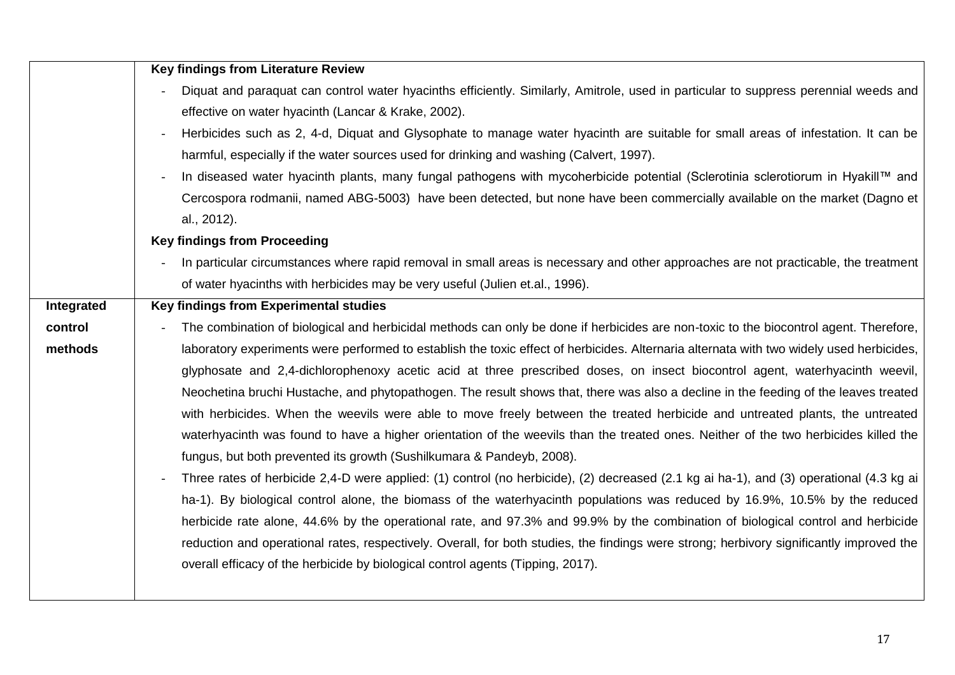|            | <b>Key findings from Literature Review</b>                                                                                               |  |  |  |  |  |
|------------|------------------------------------------------------------------------------------------------------------------------------------------|--|--|--|--|--|
|            | Diquat and paraquat can control water hyacinths efficiently. Similarly, Amitrole, used in particular to suppress perennial weeds and     |  |  |  |  |  |
|            | effective on water hyacinth (Lancar & Krake, 2002).                                                                                      |  |  |  |  |  |
|            | Herbicides such as 2, 4-d, Diquat and Glysophate to manage water hyacinth are suitable for small areas of infestation. It can be         |  |  |  |  |  |
|            | harmful, especially if the water sources used for drinking and washing (Calvert, 1997).                                                  |  |  |  |  |  |
|            | In diseased water hyacinth plants, many fungal pathogens with mycoherbicide potential (Sclerotinia sclerotiorum in Hyakill™ and          |  |  |  |  |  |
|            | Cercospora rodmanii, named ABG-5003) have been detected, but none have been commercially available on the market (Dagno et               |  |  |  |  |  |
|            | al., 2012).                                                                                                                              |  |  |  |  |  |
|            | <b>Key findings from Proceeding</b>                                                                                                      |  |  |  |  |  |
|            | In particular circumstances where rapid removal in small areas is necessary and other approaches are not practicable, the treatment      |  |  |  |  |  |
|            | of water hyacinths with herbicides may be very useful (Julien et.al., 1996).                                                             |  |  |  |  |  |
| Integrated | Key findings from Experimental studies                                                                                                   |  |  |  |  |  |
| control    | The combination of biological and herbicidal methods can only be done if herbicides are non-toxic to the biocontrol agent. Therefore,    |  |  |  |  |  |
| methods    | laboratory experiments were performed to establish the toxic effect of herbicides. Alternaria alternata with two widely used herbicides, |  |  |  |  |  |
|            | glyphosate and 2,4-dichlorophenoxy acetic acid at three prescribed doses, on insect biocontrol agent, waterhyacinth weevil,              |  |  |  |  |  |
|            | Neochetina bruchi Hustache, and phytopathogen. The result shows that, there was also a decline in the feeding of the leaves treated      |  |  |  |  |  |
|            | with herbicides. When the weevils were able to move freely between the treated herbicide and untreated plants, the untreated             |  |  |  |  |  |
|            | waterhyacinth was found to have a higher orientation of the weevils than the treated ones. Neither of the two herbicides killed the      |  |  |  |  |  |
|            | fungus, but both prevented its growth (Sushilkumara & Pandeyb, 2008).                                                                    |  |  |  |  |  |
|            | Three rates of herbicide 2,4-D were applied: (1) control (no herbicide), (2) decreased (2.1 kg ai ha-1), and (3) operational (4.3 kg ai  |  |  |  |  |  |
|            | ha-1). By biological control alone, the biomass of the waterhyacinth populations was reduced by 16.9%, 10.5% by the reduced              |  |  |  |  |  |
|            | herbicide rate alone, 44.6% by the operational rate, and 97.3% and 99.9% by the combination of biological control and herbicide          |  |  |  |  |  |
|            | reduction and operational rates, respectively. Overall, for both studies, the findings were strong; herbivory significantly improved the |  |  |  |  |  |
|            | overall efficacy of the herbicide by biological control agents (Tipping, 2017).                                                          |  |  |  |  |  |
|            |                                                                                                                                          |  |  |  |  |  |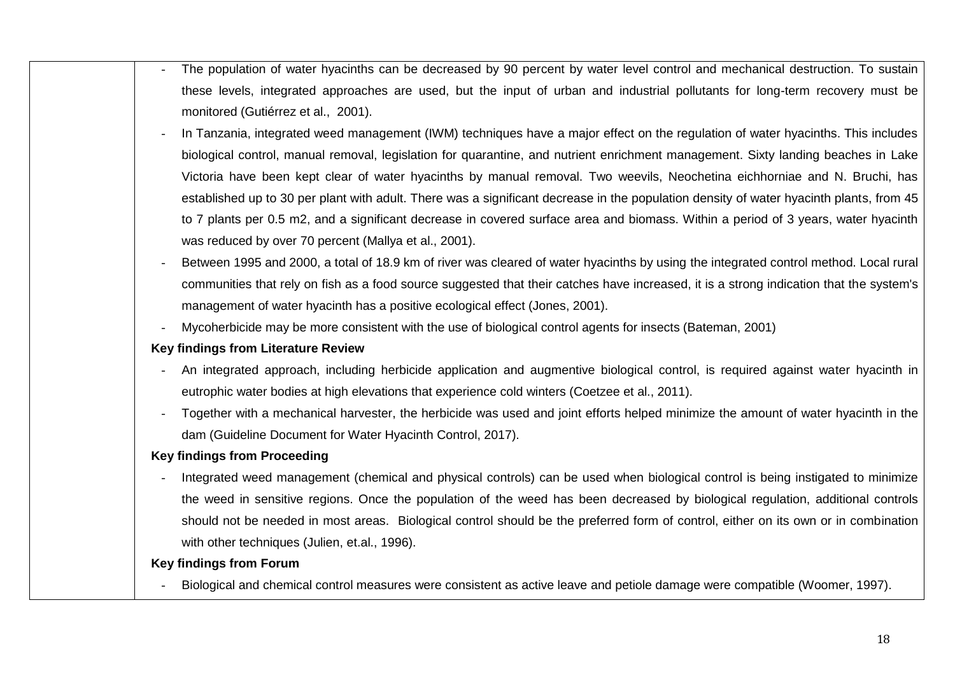| The population of water hyacinths can be decreased by 90 percent by water level control and mechanical destruction. To sustain          |
|-----------------------------------------------------------------------------------------------------------------------------------------|
| these levels, integrated approaches are used, but the input of urban and industrial pollutants for long-term recovery must be           |
| monitored (Gutiérrez et al., 2001).                                                                                                     |
| In Tanzania, integrated weed management (IWM) techniques have a major effect on the regulation of water hyacinths. This includes        |
| biological control, manual removal, legislation for quarantine, and nutrient enrichment management. Sixty landing beaches in Lake       |
| Victoria have been kept clear of water hyacinths by manual removal. Two weevils, Neochetina eichhorniae and N. Bruchi, has              |
| established up to 30 per plant with adult. There was a significant decrease in the population density of water hyacinth plants, from 45 |
| to 7 plants per 0.5 m2, and a significant decrease in covered surface area and biomass. Within a period of 3 years, water hyacinth      |
| was reduced by over 70 percent (Mallya et al., 2001).                                                                                   |
| Between 1995 and 2000, a total of 18.9 km of river was cleared of water hyacinths by using the integrated control method. Local rural   |
| communities that rely on fish as a food source suggested that their catches have increased, it is a strong indication that the system's |
| management of water hyacinth has a positive ecological effect (Jones, 2001).                                                            |
| Mycoherbicide may be more consistent with the use of biological control agents for insects (Bateman, 2001)                              |
| Key findings from Literature Review                                                                                                     |
| An integrated approach, including herbicide application and augmentive biological control, is required against water hyacinth in        |
| eutrophic water bodies at high elevations that experience cold winters (Coetzee et al., 2011).                                          |
| Together with a mechanical harvester, the herbicide was used and joint efforts helped minimize the amount of water hyacinth in the      |
| dam (Guideline Document for Water Hyacinth Control, 2017).                                                                              |
| <b>Key findings from Proceeding</b>                                                                                                     |
| Integrated weed management (chemical and physical controls) can be used when biological control is being instigated to minimize         |
| the weed in sensitive regions. Once the population of the weed has been decreased by biological regulation, additional controls         |
| should not be needed in most areas. Biological control should be the preferred form of control, either on its own or in combination     |
| with other techniques (Julien, et.al., 1996).                                                                                           |
| <b>Key findings from Forum</b>                                                                                                          |
| Biological and chemical control measures were consistent as active leave and petiole damage were compatible (Woomer, 1997).             |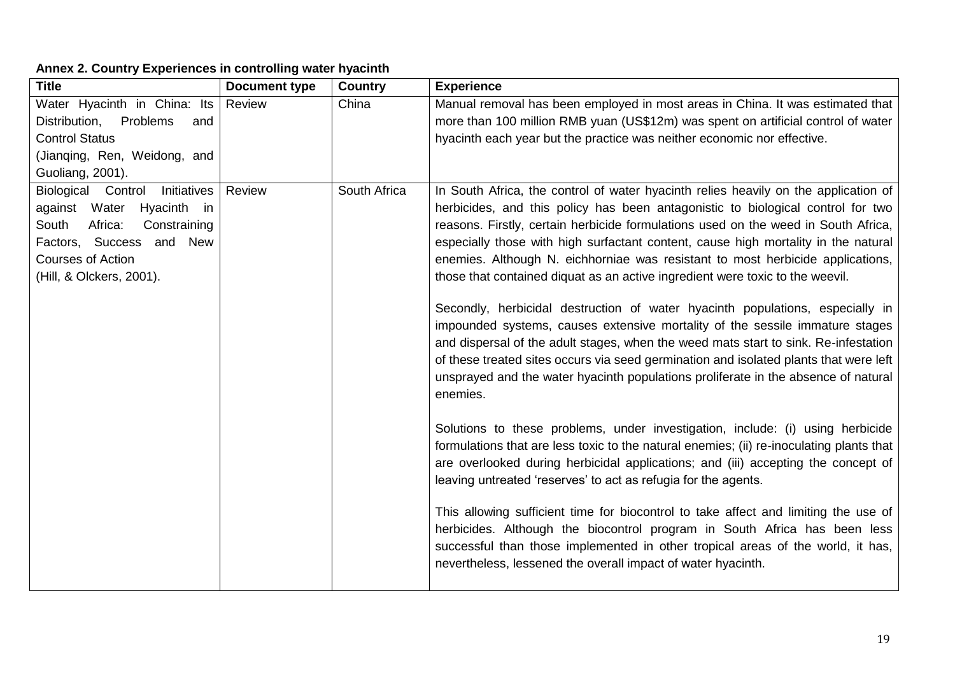## **Annex 2. Country Experiences in controlling water hyacinth**

| <b>Title</b>                                                           | <b>Document type</b> | <b>Country</b> | <b>Experience</b>                                                                                                                                                     |
|------------------------------------------------------------------------|----------------------|----------------|-----------------------------------------------------------------------------------------------------------------------------------------------------------------------|
| Water Hyacinth in China: Its                                           | Review               | China          | Manual removal has been employed in most areas in China. It was estimated that                                                                                        |
| Distribution,<br>Problems<br>and                                       |                      |                | more than 100 million RMB yuan (US\$12m) was spent on artificial control of water                                                                                     |
| <b>Control Status</b>                                                  |                      |                | hyacinth each year but the practice was neither economic nor effective.                                                                                               |
| (Jianging, Ren, Weidong, and                                           |                      |                |                                                                                                                                                                       |
| Guoliang, 2001).                                                       |                      |                |                                                                                                                                                                       |
| Biological Control<br>Initiatives                                      | Review               | South Africa   | In South Africa, the control of water hyacinth relies heavily on the application of                                                                                   |
| Hyacinth<br>against<br>Water<br>in<br>South<br>Africa:<br>Constraining |                      |                | herbicides, and this policy has been antagonistic to biological control for two<br>reasons. Firstly, certain herbicide formulations used on the weed in South Africa, |
| Factors, Success<br>and New                                            |                      |                | especially those with high surfactant content, cause high mortality in the natural                                                                                    |
| <b>Courses of Action</b>                                               |                      |                | enemies. Although N. eichhorniae was resistant to most herbicide applications,                                                                                        |
| (Hill, & Olckers, 2001).                                               |                      |                | those that contained diquat as an active ingredient were toxic to the weevil.                                                                                         |
|                                                                        |                      |                |                                                                                                                                                                       |
|                                                                        |                      |                | Secondly, herbicidal destruction of water hyacinth populations, especially in                                                                                         |
|                                                                        |                      |                | impounded systems, causes extensive mortality of the sessile immature stages                                                                                          |
|                                                                        |                      |                | and dispersal of the adult stages, when the weed mats start to sink. Re-infestation                                                                                   |
|                                                                        |                      |                | of these treated sites occurs via seed germination and isolated plants that were left                                                                                 |
|                                                                        |                      |                | unsprayed and the water hyacinth populations proliferate in the absence of natural                                                                                    |
|                                                                        |                      |                | enemies.                                                                                                                                                              |
|                                                                        |                      |                | Solutions to these problems, under investigation, include: (i) using herbicide                                                                                        |
|                                                                        |                      |                | formulations that are less toxic to the natural enemies; (ii) re-inoculating plants that                                                                              |
|                                                                        |                      |                | are overlooked during herbicidal applications; and (iii) accepting the concept of                                                                                     |
|                                                                        |                      |                | leaving untreated 'reserves' to act as refugia for the agents.                                                                                                        |
|                                                                        |                      |                |                                                                                                                                                                       |
|                                                                        |                      |                | This allowing sufficient time for biocontrol to take affect and limiting the use of                                                                                   |
|                                                                        |                      |                | herbicides. Although the biocontrol program in South Africa has been less                                                                                             |
|                                                                        |                      |                | successful than those implemented in other tropical areas of the world, it has,                                                                                       |
|                                                                        |                      |                | nevertheless, lessened the overall impact of water hyacinth.                                                                                                          |
|                                                                        |                      |                |                                                                                                                                                                       |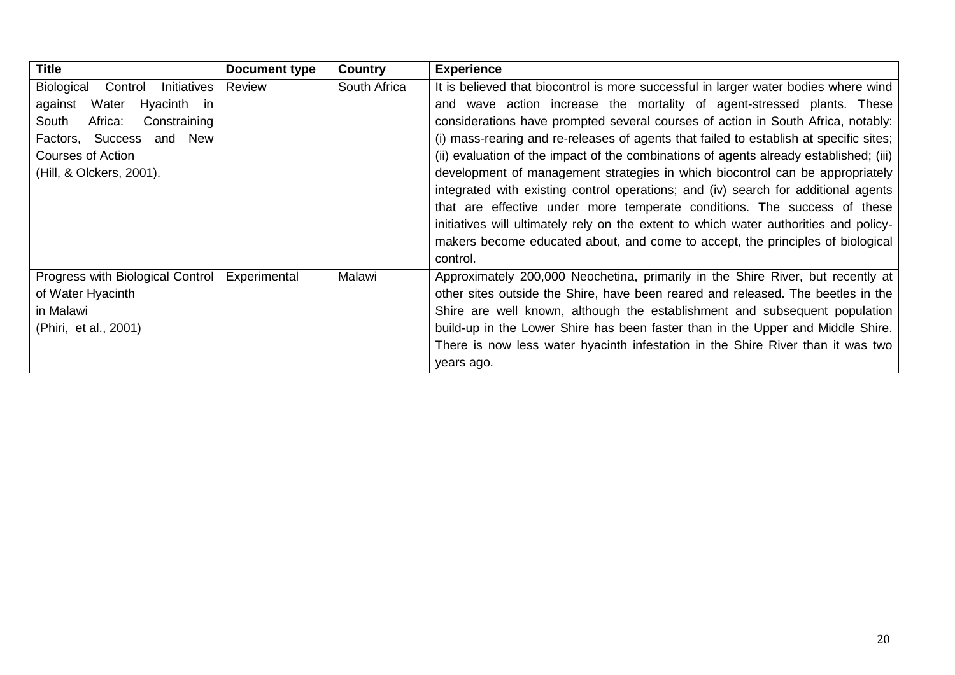| <b>Title</b>                      | Document type | <b>Country</b> | <b>Experience</b>                                                                      |
|-----------------------------------|---------------|----------------|----------------------------------------------------------------------------------------|
| Biological Control<br>Initiatives | Review        | South Africa   | It is believed that biocontrol is more successful in larger water bodies where wind    |
| Water<br>Hyacinth in<br>against   |               |                | and wave action increase the mortality of agent-stressed plants. These                 |
| Africa:<br>South<br>Constraining  |               |                | considerations have prompted several courses of action in South Africa, notably:       |
| and New<br>Factors, Success       |               |                | (i) mass-rearing and re-releases of agents that failed to establish at specific sites; |
| Courses of Action                 |               |                | (ii) evaluation of the impact of the combinations of agents already established; (iii) |
| (Hill, & Olckers, 2001).          |               |                | development of management strategies in which biocontrol can be appropriately          |
|                                   |               |                | integrated with existing control operations; and (iv) search for additional agents     |
|                                   |               |                | that are effective under more temperate conditions. The success of these               |
|                                   |               |                | initiatives will ultimately rely on the extent to which water authorities and policy-  |
|                                   |               |                | makers become educated about, and come to accept, the principles of biological         |
|                                   |               |                | control.                                                                               |
| Progress with Biological Control  | Experimental  | Malawi         | Approximately 200,000 Neochetina, primarily in the Shire River, but recently at        |
| of Water Hyacinth                 |               |                | other sites outside the Shire, have been reared and released. The beetles in the       |
| in Malawi                         |               |                | Shire are well known, although the establishment and subsequent population             |
| (Phiri, et al., 2001)             |               |                | build-up in the Lower Shire has been faster than in the Upper and Middle Shire.        |
|                                   |               |                | There is now less water hyacinth infestation in the Shire River than it was two        |
|                                   |               |                | years ago.                                                                             |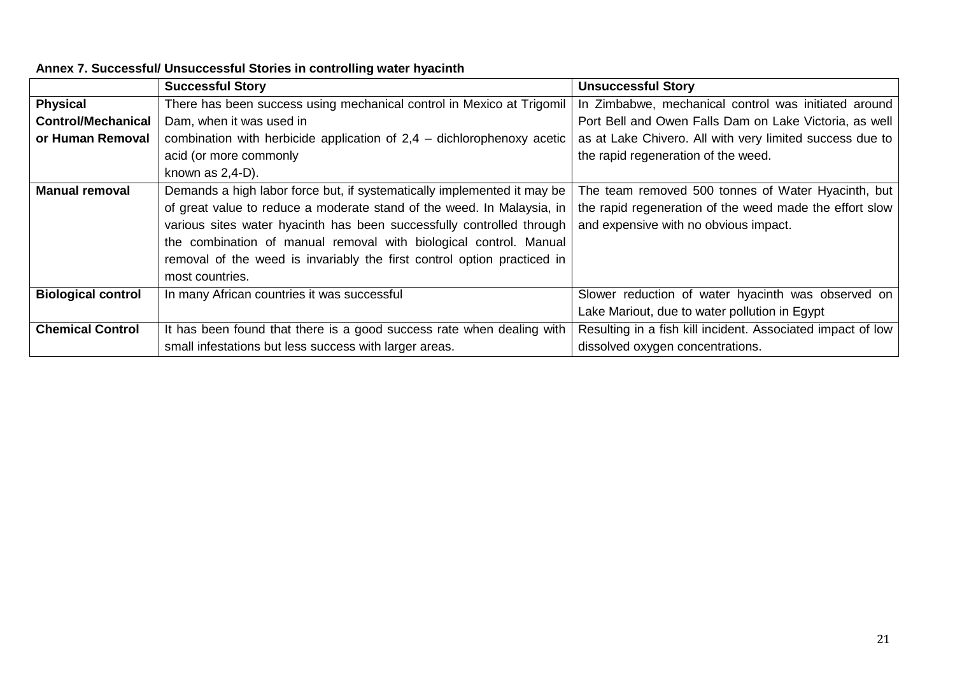|                           | <b>Successful Story</b>                                                  | <b>Unsuccessful Story</b>                                   |
|---------------------------|--------------------------------------------------------------------------|-------------------------------------------------------------|
| <b>Physical</b>           | There has been success using mechanical control in Mexico at Trigomil    | In Zimbabwe, mechanical control was initiated around        |
| <b>Control/Mechanical</b> | Dam, when it was used in                                                 | Port Bell and Owen Falls Dam on Lake Victoria, as well      |
| or Human Removal          | combination with herbicide application of $2,4$ – dichlorophenoxy acetic | as at Lake Chivero. All with very limited success due to    |
|                           | acid (or more commonly                                                   | the rapid regeneration of the weed.                         |
|                           | known as $2,4-D$ ).                                                      |                                                             |
| <b>Manual removal</b>     | Demands a high labor force but, if systematically implemented it may be  | The team removed 500 tonnes of Water Hyacinth, but          |
|                           | of great value to reduce a moderate stand of the weed. In Malaysia, in   | the rapid regeneration of the weed made the effort slow     |
|                           | various sites water hyacinth has been successfully controlled through    | and expensive with no obvious impact.                       |
|                           | the combination of manual removal with biological control. Manual        |                                                             |
|                           | removal of the weed is invariably the first control option practiced in  |                                                             |
|                           | most countries.                                                          |                                                             |
| <b>Biological control</b> | In many African countries it was successful                              | Slower reduction of water hyacinth was observed on          |
|                           |                                                                          | Lake Mariout, due to water pollution in Egypt               |
| <b>Chemical Control</b>   | It has been found that there is a good success rate when dealing with    | Resulting in a fish kill incident. Associated impact of low |
|                           | small infestations but less success with larger areas.                   | dissolved oxygen concentrations.                            |

## **Annex 7. Successful/ Unsuccessful Stories in controlling water hyacinth**